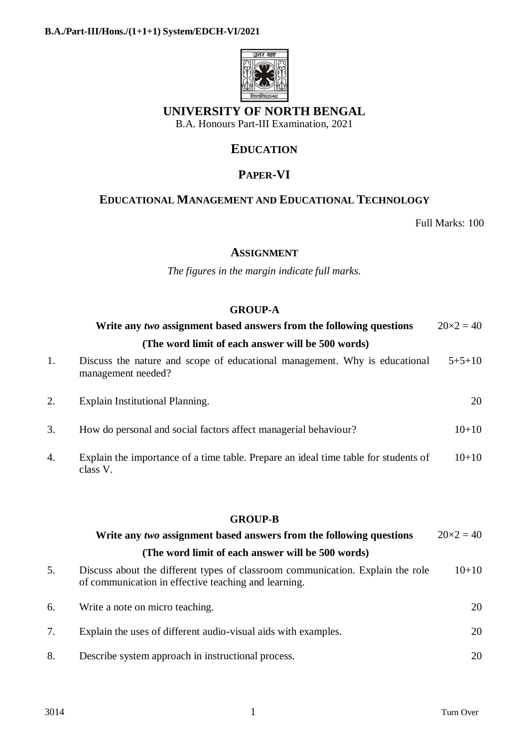

## **UNIVERSITY OF NORTH BENGAL**

B.A. Honours Part-III Examination, 2021

## **EDUCATION**

# **PAPER-VI**

## **EDUCATIONAL MANAGEMENT AND EDUCATIONAL TECHNOLOGY**

Full Marks: 100

#### **ASSIGNMENT**

*The figures in the margin indicate full marks.*

#### **GROUP-A**

|    | Write any two assignment based answers from the following questions                              | $20 \times 2 = 40$ |  |  |  |
|----|--------------------------------------------------------------------------------------------------|--------------------|--|--|--|
|    | (The word limit of each answer will be 500 words)                                                |                    |  |  |  |
| 1. | Discuss the nature and scope of educational management. Why is educational<br>management needed? | $5 + 5 + 10$       |  |  |  |
| 2. | Explain Institutional Planning.                                                                  | 20                 |  |  |  |
| 3. | How do personal and social factors affect managerial behaviour?                                  | $10 + 10$          |  |  |  |
| 4. | Explain the importance of a time table. Prepare an ideal time table for students of<br>class V.  | $10 + 10$          |  |  |  |

#### **GROUP-B**

|    | Write any two assignment based answers from the following questions                                                                    | $20 \times 2 = 40$ |
|----|----------------------------------------------------------------------------------------------------------------------------------------|--------------------|
|    | (The word limit of each answer will be 500 words)                                                                                      |                    |
| 5. | Discuss about the different types of classroom communication. Explain the role<br>of communication in effective teaching and learning. | $10 + 10$          |
| 6. | Write a note on micro teaching.                                                                                                        | 20                 |
|    | Explain the uses of different audio-visual aids with examples.                                                                         | 20                 |
| 8. | Describe system approach in instructional process.                                                                                     | 20                 |